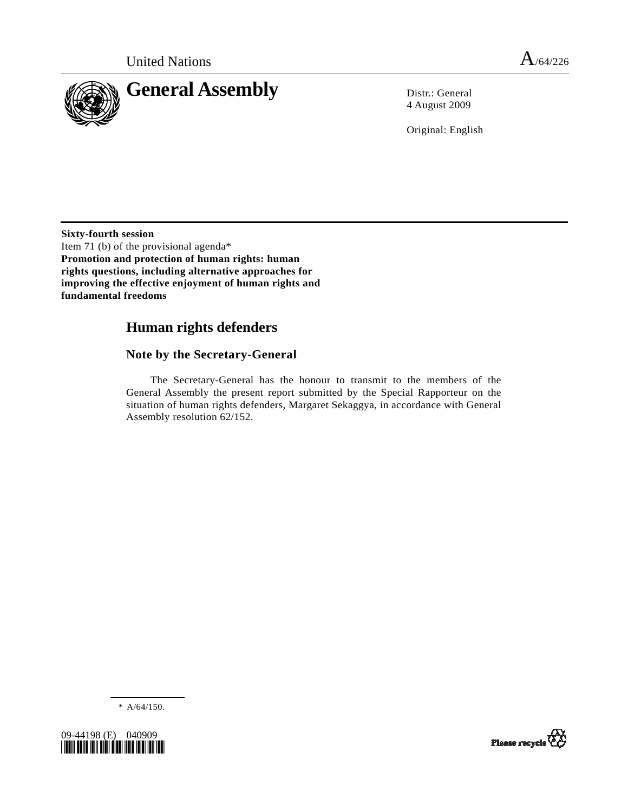

4 August 2009

Original: English

**Sixty-fourth session**  Item 71 (b) of the provisional agenda\* **Promotion and protection of human rights: human rights questions, including alternative approaches for improving the effective enjoyment of human rights and fundamental freedoms** 

# **Human rights defenders**

## **Note by the Secretary-General**

 The Secretary-General has the honour to transmit to the members of the General Assembly the present report submitted by the Special Rapporteur on the situation of human rights defenders, Margaret Sekaggya, in accordance with General Assembly resolution 62/152.

\* A/64/150.



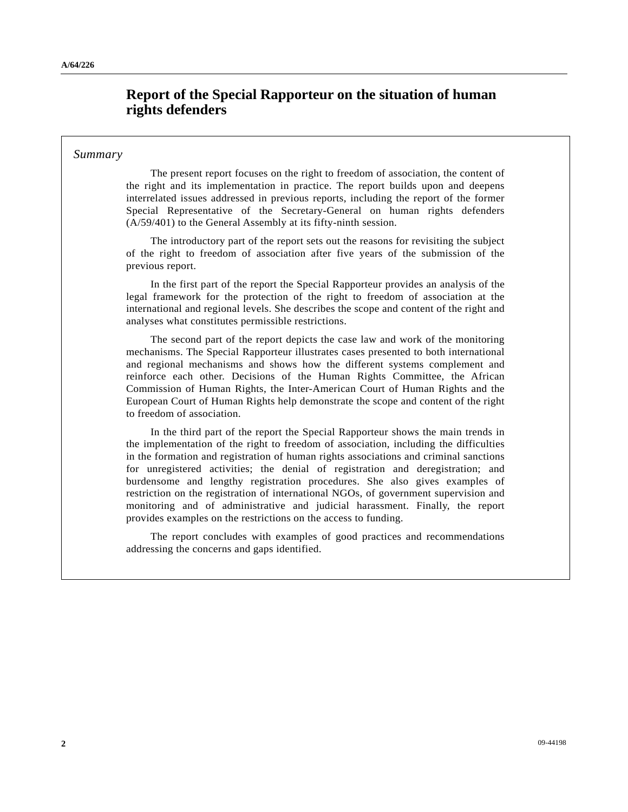# **Report of the Special Rapporteur on the situation of human rights defenders**

### *Summary*

 The present report focuses on the right to freedom of association, the content of the right and its implementation in practice. The report builds upon and deepens interrelated issues addressed in previous reports, including the report of the former Special Representative of the Secretary-General on human rights defenders (A/59/401) to the General Assembly at its fifty-ninth session.

 The introductory part of the report sets out the reasons for revisiting the subject of the right to freedom of association after five years of the submission of the previous report.

 In the first part of the report the Special Rapporteur provides an analysis of the legal framework for the protection of the right to freedom of association at the international and regional levels. She describes the scope and content of the right and analyses what constitutes permissible restrictions.

 The second part of the report depicts the case law and work of the monitoring mechanisms. The Special Rapporteur illustrates cases presented to both international and regional mechanisms and shows how the different systems complement and reinforce each other. Decisions of the Human Rights Committee, the African Commission of Human Rights, the Inter-American Court of Human Rights and the European Court of Human Rights help demonstrate the scope and content of the right to freedom of association.

 In the third part of the report the Special Rapporteur shows the main trends in the implementation of the right to freedom of association, including the difficulties in the formation and registration of human rights associations and criminal sanctions for unregistered activities; the denial of registration and deregistration; and burdensome and lengthy registration procedures. She also gives examples of restriction on the registration of international NGOs, of government supervision and monitoring and of administrative and judicial harassment. Finally, the report provides examples on the restrictions on the access to funding.

 The report concludes with examples of good practices and recommendations addressing the concerns and gaps identified.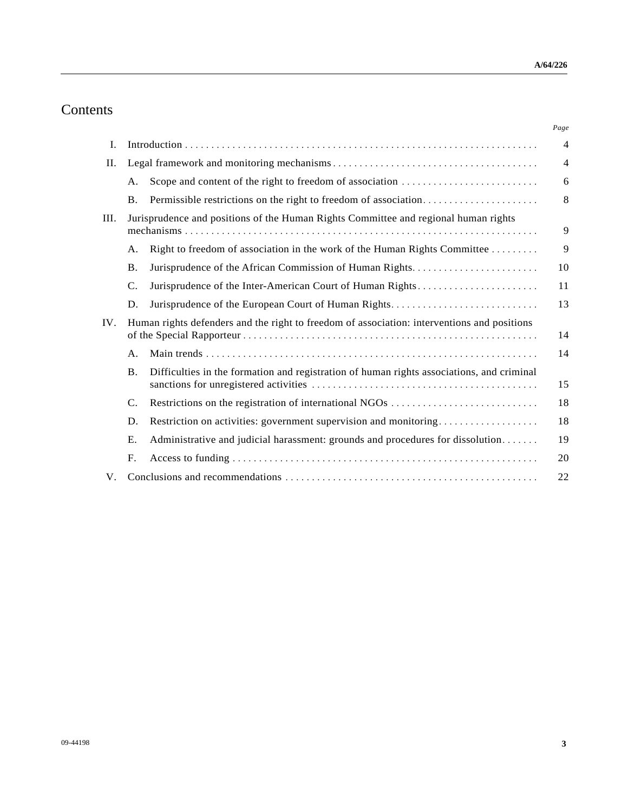# Contents

|             |                                                                                             |                                                                                           | Page           |
|-------------|---------------------------------------------------------------------------------------------|-------------------------------------------------------------------------------------------|----------------|
| Ι.          |                                                                                             |                                                                                           | $\overline{4}$ |
| П.          |                                                                                             |                                                                                           |                |
|             | А.                                                                                          |                                                                                           | 6              |
|             | <b>B.</b>                                                                                   | Permissible restrictions on the right to freedom of association                           | 8              |
| III.<br>IV. | Jurisprudence and positions of the Human Rights Committee and regional human rights         |                                                                                           | 9              |
|             | А.                                                                                          | Right to freedom of association in the work of the Human Rights Committee                 | 9              |
|             | <b>B.</b>                                                                                   |                                                                                           | 10             |
|             | C.                                                                                          | Jurisprudence of the Inter-American Court of Human Rights                                 | 11             |
|             | D.                                                                                          |                                                                                           | 13             |
|             | Human rights defenders and the right to freedom of association: interventions and positions |                                                                                           | 14             |
|             | А.                                                                                          |                                                                                           | 14             |
|             | <b>B.</b>                                                                                   | Difficulties in the formation and registration of human rights associations, and criminal | 15             |
|             | C.                                                                                          |                                                                                           | 18             |
|             | D.                                                                                          | Restriction on activities: government supervision and monitoring                          | 18             |
|             | Ε.                                                                                          | Administrative and judicial harassment: grounds and procedures for dissolution            | 19             |
|             | F.                                                                                          |                                                                                           | 20             |
| V.          |                                                                                             |                                                                                           | 22             |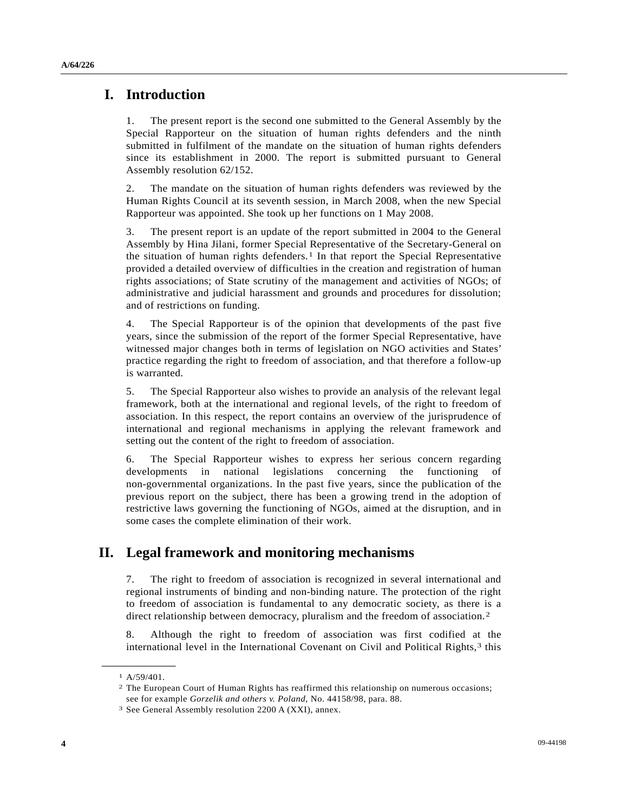## **I. Introduction**

1. The present report is the second one submitted to the General Assembly by the Special Rapporteur on the situation of human rights defenders and the ninth submitted in fulfilment of the mandate on the situation of human rights defenders since its establishment in 2000. The report is submitted pursuant to General Assembly resolution 62/152.

2. The mandate on the situation of human rights defenders was reviewed by the Human Rights Council at its seventh session, in March 2008, when the new Special Rapporteur was appointed. She took up her functions on 1 May 2008.

3. The present report is an update of the report submitted in 2004 to the General Assembly by Hina Jilani, former Special Representative of the Secretary-General on the situation of human rights defenders.<sup>[1](#page-3-0)</sup> In that report the Special Representative provided a detailed overview of difficulties in the creation and registration of human rights associations; of State scrutiny of the management and activities of NGOs; of administrative and judicial harassment and grounds and procedures for dissolution; and of restrictions on funding.

4. The Special Rapporteur is of the opinion that developments of the past five years, since the submission of the report of the former Special Representative, have witnessed major changes both in terms of legislation on NGO activities and States' practice regarding the right to freedom of association, and that therefore a follow-up is warranted.

5. The Special Rapporteur also wishes to provide an analysis of the relevant legal framework, both at the international and regional levels, of the right to freedom of association. In this respect, the report contains an overview of the jurisprudence of international and regional mechanisms in applying the relevant framework and setting out the content of the right to freedom of association.

6. The Special Rapporteur wishes to express her serious concern regarding developments in national legislations concerning the functioning of non-governmental organizations. In the past five years, since the publication of the previous report on the subject, there has been a growing trend in the adoption of restrictive laws governing the functioning of NGOs, aimed at the disruption, and in some cases the complete elimination of their work.

# **II. Legal framework and monitoring mechanisms**

7. The right to freedom of association is recognized in several international and regional instruments of binding and non-binding nature. The protection of the right to freedom of association is fundamental to any democratic society, as there is a direct relationship between democracy, pluralism and the freedom of association.[2](#page-3-1) 

8. Although the right to freedom of association was first codified at the international level in the International Covenant on Civil and Political Rights,<sup>3</sup> this

<span id="page-3-2"></span><span id="page-3-1"></span><span id="page-3-0"></span>**\_\_\_\_\_\_\_\_\_\_\_\_\_\_\_\_\_\_**  1 A/59/401.

<sup>2</sup> The European Court of Human Rights has reaffirmed this relationship on numerous occasions; see for example *Gorzelik and others v. Poland*, No. 44158/98, para. 88. 3 See General Assembly resolution 2200 A (XXI), annex.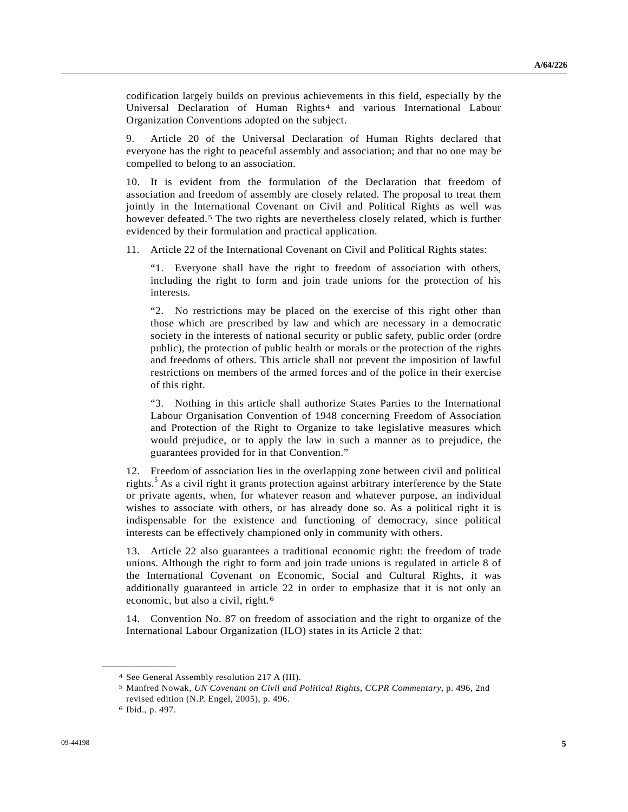codification largely builds on previous achievements in this field, especially by the Universal Declaration of Human Rights[4](#page-4-0) and various International Labour Organization Conventions adopted on the subject.

9. Article 20 of the Universal Declaration of Human Rights declared that everyone has the right to peaceful assembly and association; and that no one may be compelled to belong to an association.

10. It is evident from the formulation of the Declaration that freedom of association and freedom of assembly are closely related. The proposal to treat them jointly in the International Covenant on Civil and Political Rights as well was however defeated.<sup>[5](#page-4-1)</sup> The two rights are nevertheless closely related, which is further evidenced by their formulation and practical application.

11. Article 22 of the International Covenant on Civil and Political Rights states:

 "1. Everyone shall have the right to freedom of association with others, including the right to form and join trade unions for the protection of his interests.

 "2. No restrictions may be placed on the exercise of this right other than those which are prescribed by law and which are necessary in a democratic society in the interests of national security or public safety, public order (ordre public), the protection of public health or morals or the protection of the rights and freedoms of others. This article shall not prevent the imposition of lawful restrictions on members of the armed forces and of the police in their exercise of this right.

 "3. Nothing in this article shall authorize States Parties to the International Labour Organisation Convention of 1948 concerning Freedom of Association and Protection of the Right to Organize to take legislative measures which would prejudice, or to apply the law in such a manner as to prejudice, the guarantees provided for in that Convention."

12. Freedom of association lies in the overlapping zone between civil and political rights.<sup>5</sup> As a civil right it grants protection against arbitrary interference by the State or private agents, when, for whatever reason and whatever purpose, an individual wishes to associate with others, or has already done so. As a political right it is indispensable for the existence and functioning of democracy, since political interests can be effectively championed only in community with others.

13. Article 22 also guarantees a traditional economic right: the freedom of trade unions. Although the right to form and join trade unions is regulated in article 8 of the International Covenant on Economic, Social and Cultural Rights, it was additionally guaranteed in article 22 in order to emphasize that it is not only an economic, but also a civil, right.[6](#page-4-2)

14. Convention No. 87 on freedom of association and the right to organize of the International Labour Organization (ILO) states in its Article 2 that:

<span id="page-4-1"></span><span id="page-4-0"></span><sup>4</sup> See General Assembly resolution 217 A (III).

<sup>5</sup> Manfred Nowak, *UN Covenant on Civil and Political Rights, CCPR Commentary*, p. 496, 2nd revised edition (N.P. Engel, 2005), p. 496.

<span id="page-4-2"></span><sup>6</sup> Ibid., p. 497.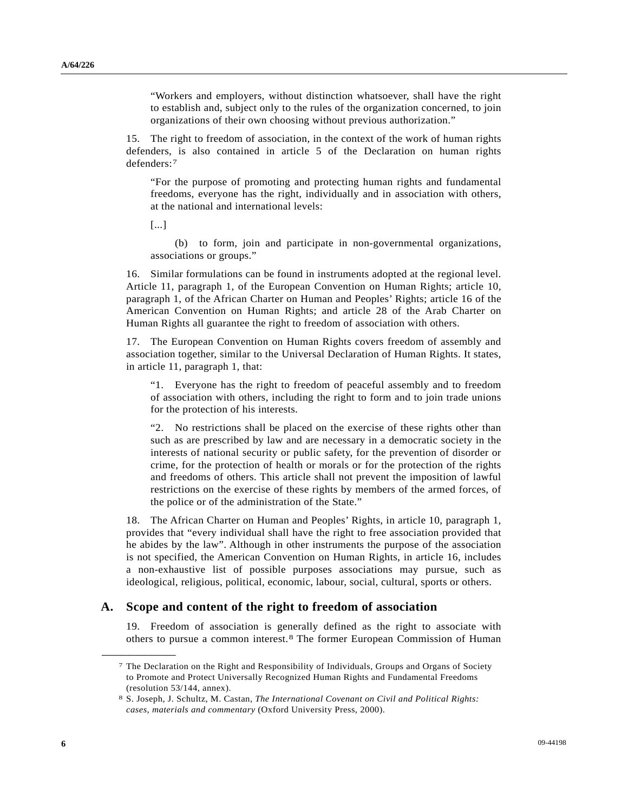"Workers and employers, without distinction whatsoever, shall have the right to establish and, subject only to the rules of the organization concerned, to join organizations of their own choosing without previous authorization."

15. The right to freedom of association, in the context of the work of human rights defenders, is also contained in article 5 of the Declaration on human rights defenders:[7](#page-5-0)

 "For the purpose of promoting and protecting human rights and fundamental freedoms, everyone has the right, individually and in association with others, at the national and international levels:

[...]

 (b) to form, join and participate in non-governmental organizations, associations or groups."

16. Similar formulations can be found in instruments adopted at the regional level. Article 11, paragraph 1, of the European Convention on Human Rights; article 10, paragraph 1, of the African Charter on Human and Peoples' Rights; article 16 of the American Convention on Human Rights; and article 28 of the Arab Charter on Human Rights all guarantee the right to freedom of association with others.

17. The European Convention on Human Rights covers freedom of assembly and association together, similar to the Universal Declaration of Human Rights. It states, in article 11, paragraph 1, that:

 "1. Everyone has the right to freedom of peaceful assembly and to freedom of association with others, including the right to form and to join trade unions for the protection of his interests.

 "2. No restrictions shall be placed on the exercise of these rights other than such as are prescribed by law and are necessary in a democratic society in the interests of national security or public safety, for the prevention of disorder or crime, for the protection of health or morals or for the protection of the rights and freedoms of others. This article shall not prevent the imposition of lawful restrictions on the exercise of these rights by members of the armed forces, of the police or of the administration of the State."

18. The African Charter on Human and Peoples' Rights, in article 10, paragraph 1, provides that "every individual shall have the right to free association provided that he abides by the law". Although in other instruments the purpose of the association is not specified, the American Convention on Human Rights, in article 16, includes a non-exhaustive list of possible purposes associations may pursue, such as ideological, religious, political, economic, labour, social, cultural, sports or others.

### <span id="page-5-0"></span> **A. Scope and content of the right to freedom of association**

19. Freedom of association is generally defined as the right to associate with others to pursue a common interest.[8](#page-5-1) The former European Commission of Human

<sup>7</sup> The Declaration on the Right and Responsibility of Individuals, Groups and Organs of Society to Promote and Protect Universally Recognized Human Rights and Fundamental Freedoms (resolution 53/144, annex).

<span id="page-5-1"></span><sup>8</sup> S. Joseph, J. Schultz, M. Castan, *The International Covenant on Civil and Political Rights: cases, materials and commentary* (Oxford University Press, 2000).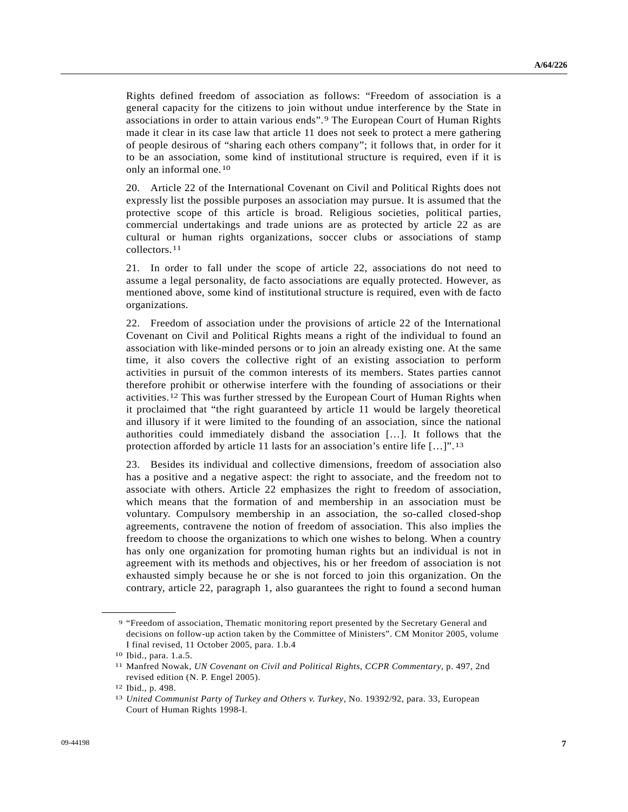Rights defined freedom of association as follows: "Freedom of association is a general capacity for the citizens to join without undue interference by the State in associations in order to attain various ends".[9](#page-6-0) The European Court of Human Rights made it clear in its case law that article 11 does not seek to protect a mere gathering of people desirous of "sharing each others company"; it follows that, in order for it to be an association, some kind of institutional structure is required, even if it is only an informal one.[10](#page-6-1)

20. Article 22 of the International Covenant on Civil and Political Rights does not expressly list the possible purposes an association may pursue. It is assumed that the protective scope of this article is broad. Religious societies, political parties, commercial undertakings and trade unions are as protected by article 22 as are cultural or human rights organizations, soccer clubs or associations of stamp collectors.[11](#page-6-2)

21. In order to fall under the scope of article 22, associations do not need to assume a legal personality, de facto associations are equally protected. However, as mentioned above, some kind of institutional structure is required, even with de facto organizations.

22. Freedom of association under the provisions of article 22 of the International Covenant on Civil and Political Rights means a right of the individual to found an association with like-minded persons or to join an already existing one. At the same time, it also covers the collective right of an existing association to perform activities in pursuit of the common interests of its members. States parties cannot therefore prohibit or otherwise interfere with the founding of associations or their activities.[12](#page-6-3) This was further stressed by the European Court of Human Rights when it proclaimed that "the right guaranteed by article 11 would be largely theoretical and illusory if it were limited to the founding of an association, since the national authorities could immediately disband the association […]. It follows that the protection afforded by article [1](#page-6-4)1 lasts for an association's entire life  $[\dots]$ ".<sup>13</sup>

23. Besides its individual and collective dimensions, freedom of association also has a positive and a negative aspect: the right to associate, and the freedom not to associate with others. Article 22 emphasizes the right to freedom of association, which means that the formation of and membership in an association must be voluntary. Compulsory membership in an association, the so-called closed-shop agreements, contravene the notion of freedom of association. This also implies the freedom to choose the organizations to which one wishes to belong. When a country has only one organization for promoting human rights but an individual is not in agreement with its methods and objectives, his or her freedom of association is not exhausted simply because he or she is not forced to join this organization. On the contrary, article 22, paragraph 1, also guarantees the right to found a second human

<span id="page-6-0"></span><sup>9 &</sup>quot;Freedom of association, Thematic monitoring report presented by the Secretary General and decisions on follow-up action taken by the Committee of Ministers". CM Monitor 2005, volume I final revised, 11 October 2005, para. 1.b.4

<span id="page-6-1"></span><sup>10</sup> Ibid., para. 1.a.5.

<span id="page-6-2"></span><sup>11</sup> Manfred Nowak, *UN Covenant on Civil and Political Rights, CCPR Commentary*, p. 497, 2nd revised edition (N. P. Engel 2005).

<span id="page-6-3"></span><sup>12</sup> Ibid., p. 498.

<span id="page-6-4"></span><sup>13</sup> *United Communist Party of Turkey and Others v. Turkey*, No. 19392/92, para. 33, European Court of Human Rights 1998-I.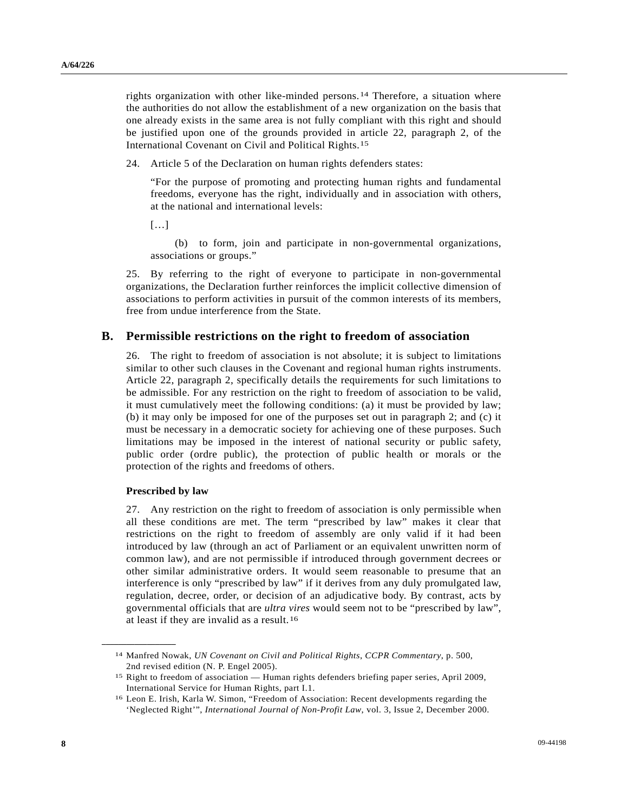rights organization with other like-minded persons.[1](#page-7-0)4 Therefore, a situation where the authorities do not allow the establishment of a new organization on the basis that one already exists in the same area is not fully compliant with this right and should be justified upon one of the grounds provided in article 22, paragraph 2, of the International Covenant on Civil and Political Rights.[1](#page-7-1)5

24. Article 5 of the Declaration on human rights defenders states:

 "For the purpose of promoting and protecting human rights and fundamental freedoms, everyone has the right, individually and in association with others, at the national and international levels:

 $[...]$ 

 (b) to form, join and participate in non-governmental organizations, associations or groups."

25. By referring to the right of everyone to participate in non-governmental organizations, the Declaration further reinforces the implicit collective dimension of associations to perform activities in pursuit of the common interests of its members, free from undue interference from the State.

#### **B. Permissible restrictions on the right to freedom of association**

26. The right to freedom of association is not absolute; it is subject to limitations similar to other such clauses in the Covenant and regional human rights instruments. Article 22, paragraph 2, specifically details the requirements for such limitations to be admissible. For any restriction on the right to freedom of association to be valid, it must cumulatively meet the following conditions: (a) it must be provided by law; (b) it may only be imposed for one of the purposes set out in paragraph 2; and (c) it must be necessary in a democratic society for achieving one of these purposes. Such limitations may be imposed in the interest of national security or public safety, public order (ordre public), the protection of public health or morals or the protection of the rights and freedoms of others.

#### **Prescribed by law**

<span id="page-7-1"></span><span id="page-7-0"></span>**\_\_\_\_\_\_\_\_\_\_\_\_\_\_\_\_\_\_** 

27. Any restriction on the right to freedom of association is only permissible when all these conditions are met. The term "prescribed by law" makes it clear that restrictions on the right to freedom of assembly are only valid if it had been introduced by law (through an act of Parliament or an equivalent unwritten norm of common law), and are not permissible if introduced through government decrees or other similar administrative orders. It would seem reasonable to presume that an interference is only "prescribed by law" if it derives from any duly promulgated law, regulation, decree, order, or decision of an adjudicative body. By contrast, acts by governmental officials that are *ultra vires* would seem not to be "prescribed by law", at least if they are invalid as a result.[16](#page-7-2)

<sup>14</sup> Manfred Nowak, *UN Covenant on Civil and Political Rights*, *CCPR Commentary*, p. 500, 2nd revised edition (N. P. Engel 2005).

<sup>15</sup> Right to freedom of association — Human rights defenders briefing paper series, April 2009, International Service for Human Rights, part I.1.

<span id="page-7-2"></span><sup>16</sup> Leon E. Irish, Karla W. Simon, "Freedom of Association: Recent developments regarding the 'Neglected Right'", *International Journal of Non-Profit Law*, vol. 3, Issue 2, December 2000.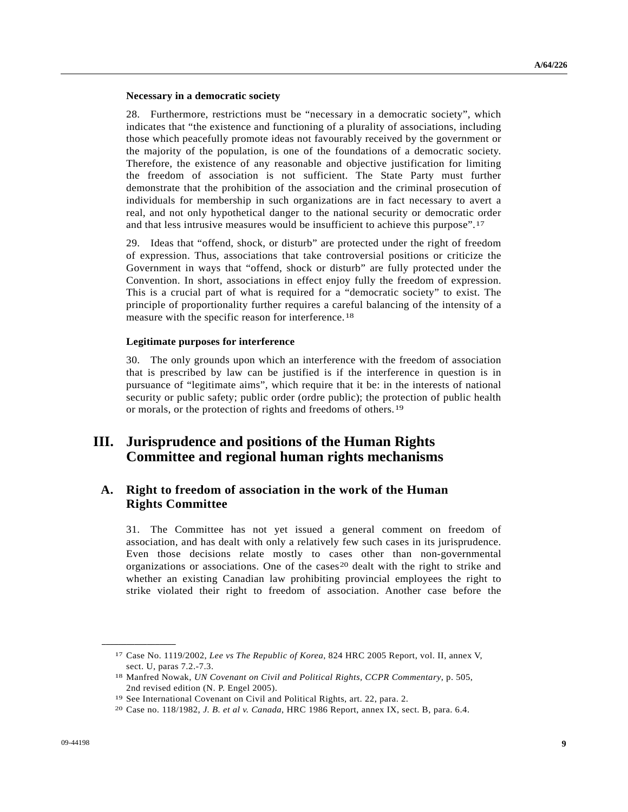#### **Necessary in a democratic society**

28. Furthermore, restrictions must be "necessary in a democratic society", which indicates that "the existence and functioning of a plurality of associations, including those which peacefully promote ideas not favourably received by the government or the majority of the population, is one of the foundations of a democratic society. Therefore, the existence of any reasonable and objective justification for limiting the freedom of association is not sufficient. The State Party must further demonstrate that the prohibition of the association and the criminal prosecution of individuals for membership in such organizations are in fact necessary to avert a real, and not only hypothetical danger to the national security or democratic order and that less intrusive measures would be insufficient to achieve this purpose".[1](#page-8-0)7

29. Ideas that "offend, shock, or disturb" are protected under the right of freedom of expression. Thus, associations that take controversial positions or criticize the Government in ways that "offend, shock or disturb" are fully protected under the Convention. In short, associations in effect enjoy fully the freedom of expression. This is a crucial part of what is required for a "democratic society" to exist. The principle of proportionality further requires a careful balancing of the intensity of a measure with the specific reason for interference.<sup>[1](#page-8-1)8</sup>

#### **Legitimate purposes for interference**

30. The only grounds upon which an interference with the freedom of association that is prescribed by law can be justified is if the interference in question is in pursuance of "legitimate aims", which require that it be: in the interests of national security or public safety; public order (ordre public); the protection of public health or morals, or the protection of rights and freedoms of others.[1](#page-8-2)9

# **III. Jurisprudence and positions of the Human Rights Committee and regional human rights mechanisms**

## **A. Right to freedom of association in the work of the Human Rights Committee**

31. The Committee has not yet issued a general comment on freedom of association, and has dealt with only a relatively few such cases in its jurisprudence. Even those decisions relate mostly to cases other than non-governmental organizations or associations. One of the cases<sup>[20](#page-8-3)</sup> dealt with the right to strike and whether an existing Canadian law prohibiting provincial employees the right to strike violated their right to freedom of association. Another case before the

<span id="page-8-1"></span><span id="page-8-0"></span><sup>17</sup> Case No. 1119/2002, *Lee vs The Republic of Korea*, 824 HRC 2005 Report, vol. II, annex V, sect. U, paras 7.2.-7.3.

<sup>18</sup> Manfred Nowak, *UN Covenant on Civil and Political Rights, CCPR Commentary*, p. 505, 2nd revised edition (N. P. Engel 2005).

<span id="page-8-3"></span><span id="page-8-2"></span><sup>19</sup> See International Covenant on Civil and Political Rights, art. 22, para. 2. 20 Case no. 118/1982, *J. B. et al v. Canada*, HRC 1986 Report, annex IX, sect. B, para. 6.4.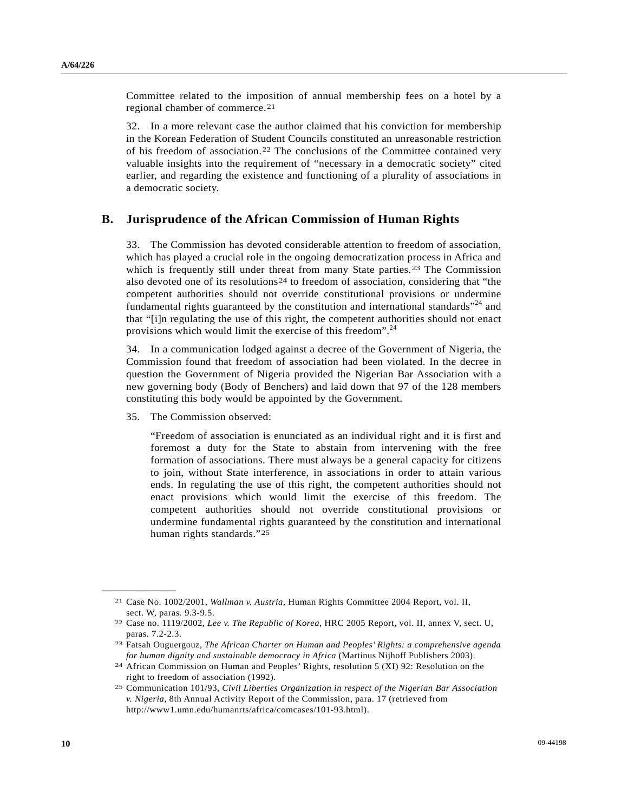Committee related to the imposition of annual membership fees on a hotel by a regional chamber of commerce.[2](#page-9-0)1

32. In a more relevant case the author claimed that his conviction for membership in the Korean Federation of Student Councils constituted an unreasonable restriction of his freedom of association.[22](#page-9-1) The conclusions of the Committee contained very valuable insights into the requirement of "necessary in a democratic society" cited earlier, and regarding the existence and functioning of a plurality of associations in a democratic society.

### **B. Jurisprudence of the African Commission of Human Rights**

33. The Commission has devoted considerable attention to freedom of association, which has played a crucial role in the ongoing democratization process in Africa and which is frequently still under threat from many State parties.<sup>[23](#page-9-2)</sup> The Commission also devoted one of its resolutions<sup>[24](#page-9-3)</sup> to freedom of association, considering that "the competent authorities should not override constitutional provisions or undermine fundamental rights guaranteed by the constitution and international standards $^{24}$  and that "[i]n regulating the use of this right, the competent authorities should not enact provisions which would limit the exercise of this freedom".24

34. In a communication lodged against a decree of the Government of Nigeria, the Commission found that freedom of association had been violated. In the decree in question the Government of Nigeria provided the Nigerian Bar Association with a new governing body (Body of Benchers) and laid down that 97 of the 128 members constituting this body would be appointed by the Government.

35. The Commission observed:

<span id="page-9-1"></span><span id="page-9-0"></span>**\_\_\_\_\_\_\_\_\_\_\_\_\_\_\_\_\_\_** 

 "Freedom of association is enunciated as an individual right and it is first and foremost a duty for the State to abstain from intervening with the free formation of associations. There must always be a general capacity for citizens to join, without State interference, in associations in order to attain various ends. In regulating the use of this right, the competent authorities should not enact provisions which would limit the exercise of this freedom. The competent authorities should not override constitutional provisions or undermine fundamental rights guaranteed by the constitution and international human rights standards."[25](#page-9-4)

<sup>21</sup> Case No. 1002/2001, *Wallman v. Austria*, Human Rights Committee 2004 Report, vol. II, sect. W, paras. 9.3-9.5.

<sup>22</sup> Case no. 1119/2002, *Lee v. The Republic of Korea*, HRC 2005 Report, vol. II, annex V, sect. U, paras. 7.2-2.3.

<span id="page-9-2"></span><sup>23</sup> Fatsah Ouguergouz, *The African Charter on Human and Peoples' Rights: a comprehensive agenda for human dignity and sustainable democracy in Africa* (Martinus Nijhoff Publishers 2003).

<span id="page-9-3"></span><sup>24</sup> African Commission on Human and Peoples' Rights, resolution 5 (XI) 92: Resolution on the right to freedom of association (1992).

<span id="page-9-4"></span><sup>25</sup> Communication 101/93, *Civil Liberties Organization in respect of the Nigerian Bar Association v. Nigeria*, 8th Annual Activity Report of the Commission, para. 17 (retrieved from http://www1.umn.edu/humanrts/africa/comcases/101-93.html).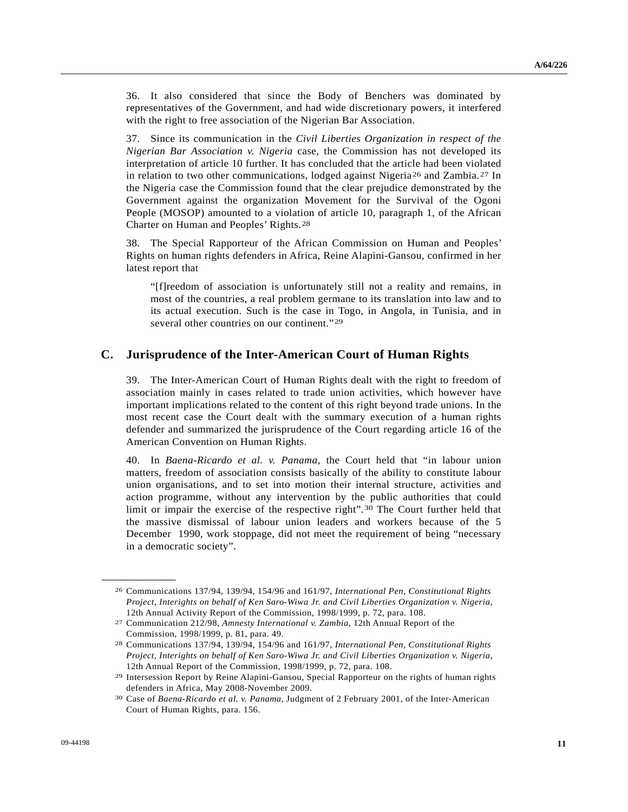36. It also considered that since the Body of Benchers was dominated by representatives of the Government, and had wide discretionary powers, it interfered with the right to free association of the Nigerian Bar Association.

37. Since its communication in the *Civil Liberties Organization in respect of the Nigerian Bar Association v. Nigeria* case, the Commission has not developed its interpretation of article 10 further. It has concluded that the article had been violated in relation to two other communications, lodged against Nigeria<sup>[2](#page-10-1)6</sup> and Zambia.<sup>27</sup> In the Nigeria case the Commission found that the clear prejudice demonstrated by the Government against the organization Movement for the Survival of the Ogoni People (MOSOP) amounted to a violation of article 10, paragraph 1, of the African Charter on Human and Peoples' Rights.[28](#page-10-2)

38. The Special Rapporteur of the African Commission on Human and Peoples' Rights on human rights defenders in Africa, Reine Alapini-Gansou, confirmed in her latest report that

"[f]reedom of association is unfortunately still not a reality and remains, in most of the countries, a real problem germane to its translation into law and to its actual execution. Such is the case in Togo, in Angola, in Tunisia, and in several other countries on our continent."[2](#page-10-3)9

### **C. Jurisprudence of the Inter-American Court of Human Rights**

39. The Inter-American Court of Human Rights dealt with the right to freedom of association mainly in cases related to trade union activities, which however have important implications related to the content of this right beyond trade unions. In the most recent case the Court dealt with the summary execution of a human rights defender and summarized the jurisprudence of the Court regarding article 16 of the American Convention on Human Rights.

40. In *Baena-Ricardo et al. v. Panama*, the Court held that "in labour union matters, freedom of association consists basically of the ability to constitute labour union organisations, and to set into motion their internal structure, activities and action programme, without any intervention by the public authorities that could limit or impair the exercise of the respective right".[30](#page-10-4) The Court further held that the massive dismissal of labour union leaders and workers because of the 5 December 1990, work stoppage, did not meet the requirement of being "necessary in a democratic society".

<span id="page-10-0"></span><sup>26</sup> Communications 137/94, 139/94, 154/96 and 161/97, *International Pen, Constitutional Rights Project, Interights on behalf of Ken Saro-Wiwa Jr. and Civil Liberties Organization v. Nigeria*, 12th Annual Activity Report of the Commission, 1998/1999, p. 72, para. 108.

<span id="page-10-1"></span><sup>27</sup> Communication 212/98, *Amnesty International v. Zambia*, 12th Annual Report of the Commission, 1998/1999, p. 81, para. 49.

<span id="page-10-2"></span><sup>28</sup> Communications 137/94, 139/94, 154/96 and 161/97, *International Pen, Constitutional Rights Project, Interights on behalf of Ken Saro-Wiwa Jr. and Civil Liberties Organization v. Nigeria*, 12th Annual Report of the Commission, 1998/1999, p. 72, para. 108.

<span id="page-10-3"></span><sup>29</sup> Intersession Report by Reine Alapini-Gansou, Special Rapporteur on the rights of human rights defenders in Africa, May 2008-November 2009.

<span id="page-10-4"></span><sup>30</sup> Case of *Baena-Ricardo et al. v. Panama*, Judgment of 2 February 2001, of the Inter-American Court of Human Rights, para. 156.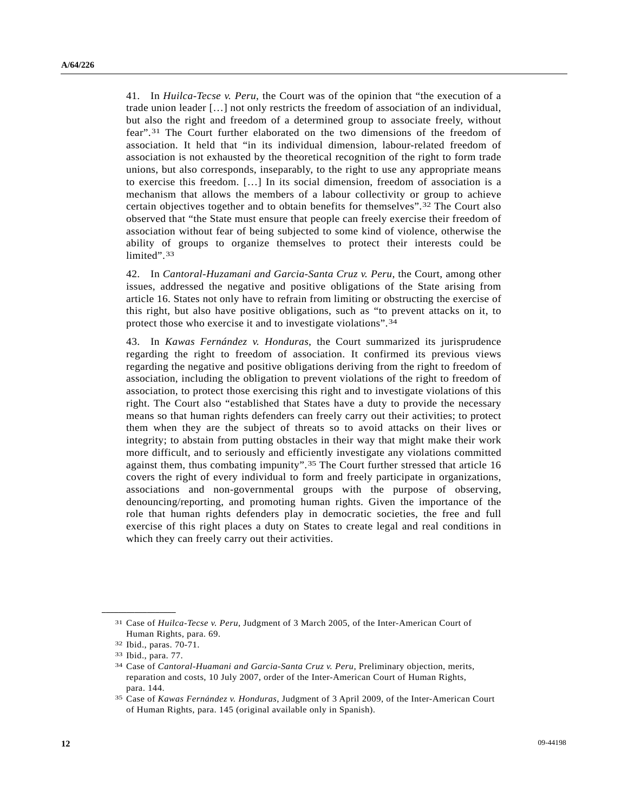41. In *Huilca-Tecse v. Peru*, the Court was of the opinion that "the execution of a trade union leader […] not only restricts the freedom of association of an individual, but also the right and freedom of a determined group to associate freely, without fear".[3](#page-11-0)1 The Court further elaborated on the two dimensions of the freedom of association. It held that "in its individual dimension, labour-related freedom of association is not exhausted by the theoretical recognition of the right to form trade unions, but also corresponds, inseparably, to the right to use any appropriate means to exercise this freedom. […] In its social dimension, freedom of association is a mechanism that allows the members of a labour collectivity or group to achieve certain objectives together and to obtain benefits for themselves".[3](#page-11-1)2 The Court also observed that "the State must ensure that people can freely exercise their freedom of association without fear of being subjected to some kind of violence, otherwise the ability of groups to organize themselves to protect their interests could be limited".<sup>[33](#page-11-2)</sup>

42. In *Cantoral-Huzamani and Garcia-Santa Cruz v. Peru*, the Court, among other issues, addressed the negative and positive obligations of the State arising from article 16. States not only have to refrain from limiting or obstructing the exercise of this right, but also have positive obligations, such as "to prevent attacks on it, to protect those who exercise it and to investigate violations".[3](#page-11-3)4

43. In *Kawas Fernández v. Honduras*, the Court summarized its jurisprudence regarding the right to freedom of association. It confirmed its previous views regarding the negative and positive obligations deriving from the right to freedom of association, including the obligation to prevent violations of the right to freedom of association, to protect those exercising this right and to investigate violations of this right. The Court also "established that States have a duty to provide the necessary means so that human rights defenders can freely carry out their activities; to protect them when they are the subject of threats so to avoid attacks on their lives or integrity; to abstain from putting obstacles in their way that might make their work more difficult, and to seriously and efficiently investigate any violations committed against them, thus combating impunity".[3](#page-11-4)5 The Court further stressed that article 16 covers the right of every individual to form and freely participate in organizations, associations and non-governmental groups with the purpose of observing, denouncing/reporting, and promoting human rights. Given the importance of the role that human rights defenders play in democratic societies, the free and full exercise of this right places a duty on States to create legal and real conditions in which they can freely carry out their activities.

<span id="page-11-1"></span><span id="page-11-0"></span><sup>31</sup> Case of *Huilca-Tecse v. Peru*, Judgment of 3 March 2005, of the Inter-American Court of Human Rights, para. 69.

<sup>32</sup> Ibid., paras. 70-71.

<span id="page-11-2"></span><sup>33</sup> Ibid., para. 77.

<span id="page-11-3"></span><sup>34</sup> Case of *Cantoral-Huamani and Garcia-Santa Cruz v. Peru*, Preliminary objection, merits, reparation and costs, 10 July 2007, order of the Inter-American Court of Human Rights, para. 144.

<span id="page-11-4"></span><sup>35</sup> Case of *Kawas Fernández v. Honduras*, Judgment of 3 April 2009, of the Inter-American Court of Human Rights, para. 145 (original available only in Spanish).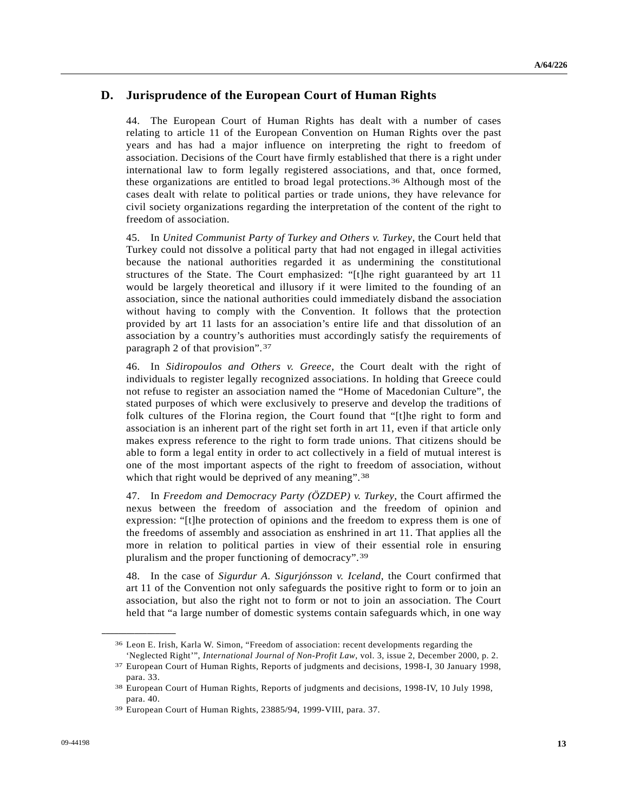## **D. Jurisprudence of the European Court of Human Rights**

44. The European Court of Human Rights has dealt with a number of cases relating to article 11 of the European Convention on Human Rights over the past years and has had a major influence on interpreting the right to freedom of association. Decisions of the Court have firmly established that there is a right under international law to form legally registered associations, and that, once formed, these organizations are entitled to broad legal protections.[36](#page-12-0) Although most of the cases dealt with relate to political parties or trade unions, they have relevance for civil society organizations regarding the interpretation of the content of the right to freedom of association.

45. In *United Communist Party of Turkey and Others v. Turkey*, the Court held that Turkey could not dissolve a political party that had not engaged in illegal activities because the national authorities regarded it as undermining the constitutional structures of the State. The Court emphasized: "[t]he right guaranteed by art 11 would be largely theoretical and illusory if it were limited to the founding of an association, since the national authorities could immediately disband the association without having to comply with the Convention. It follows that the protection provided by art 11 lasts for an association's entire life and that dissolution of an association by a country's authorities must accordingly satisfy the requirements of paragraph 2 of that provision".[37](#page-12-1)

46. In *Sidiropoulos and Others v. Greece*, the Court dealt with the right of individuals to register legally recognized associations. In holding that Greece could not refuse to register an association named the "Home of Macedonian Culture", the stated purposes of which were exclusively to preserve and develop the traditions of folk cultures of the Florina region, the Court found that "[t]he right to form and association is an inherent part of the right set forth in art 11, even if that article only makes express reference to the right to form trade unions. That citizens should be able to form a legal entity in order to act collectively in a field of mutual interest is one of the most important aspects of the right to freedom of association, without which that right would be deprived of any meaning".<sup>[3](#page-12-2)8</sup>

47. In *Freedom and Democracy Party (ÖZDEP) v. Turkey*, the Court affirmed the nexus between the freedom of association and the freedom of opinion and expression: "[t]he protection of opinions and the freedom to express them is one of the freedoms of assembly and association as enshrined in art 11. That applies all the more in relation to political parties in view of their essential role in ensuring pluralism and the proper functioning of democracy".[39](#page-12-3)

48. In the case of *Sigurdur A. Sigurjónsson v. Iceland*, the Court confirmed that art 11 of the Convention not only safeguards the positive right to form or to join an association, but also the right not to form or not to join an association. The Court held that "a large number of domestic systems contain safeguards which, in one way

<span id="page-12-0"></span><sup>36</sup> Leon E. Irish, Karla W. Simon, "Freedom of association: recent developments regarding the

<span id="page-12-1"></span><sup>&#</sup>x27;Neglected Right'", *International Journal of Non-Profit Law*, vol. 3, issue 2, December 2000, p. 2. 37 European Court of Human Rights, Reports of judgments and decisions, 1998-I, 30 January 1998, para. 33.

<span id="page-12-2"></span><sup>38</sup> European Court of Human Rights, Reports of judgments and decisions, 1998-IV, 10 July 1998, para. 40.

<span id="page-12-3"></span><sup>39</sup> European Court of Human Rights, 23885/94, 1999-VIII, para. 37.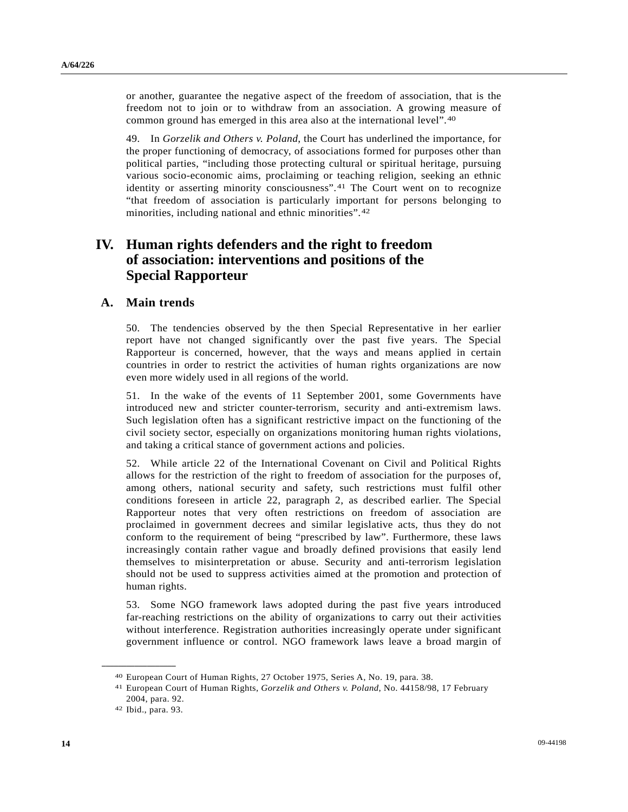or another, guarantee the negative aspect of the freedom of association, that is the freedom not to join or to withdraw from an association. A growing measure of common ground has emerged in this area also at the international level".[4](#page-13-0)0

49. In *Gorzelik and Others v. Poland*, the Court has underlined the importance, for the proper functioning of democracy, of associations formed for purposes other than political parties, "including those protecting cultural or spiritual heritage, pursuing various socio-economic aims, proclaiming or teaching religion, seeking an ethnic identity or asserting minority consciousness".[41](#page-13-1) The Court went on to recognize "that freedom of association is particularly important for persons belonging to minorities, including national and ethnic minorities".[42](#page-13-2)

## **IV. Human rights defenders and the right to freedom of association: interventions and positions of the Special Rapporteur**

### **A. Main trends**

50. The tendencies observed by the then Special Representative in her earlier report have not changed significantly over the past five years. The Special Rapporteur is concerned, however, that the ways and means applied in certain countries in order to restrict the activities of human rights organizations are now even more widely used in all regions of the world.

51. In the wake of the events of 11 September 2001, some Governments have introduced new and stricter counter-terrorism, security and anti-extremism laws. Such legislation often has a significant restrictive impact on the functioning of the civil society sector, especially on organizations monitoring human rights violations, and taking a critical stance of government actions and policies.

52. While article 22 of the International Covenant on Civil and Political Rights allows for the restriction of the right to freedom of association for the purposes of, among others, national security and safety, such restrictions must fulfil other conditions foreseen in article 22, paragraph 2, as described earlier. The Special Rapporteur notes that very often restrictions on freedom of association are proclaimed in government decrees and similar legislative acts, thus they do not conform to the requirement of being "prescribed by law". Furthermore, these laws increasingly contain rather vague and broadly defined provisions that easily lend themselves to misinterpretation or abuse. Security and anti-terrorism legislation should not be used to suppress activities aimed at the promotion and protection of human rights.

53. Some NGO framework laws adopted during the past five years introduced far-reaching restrictions on the ability of organizations to carry out their activities without interference. Registration authorities increasingly operate under significant government influence or control. NGO framework laws leave a broad margin of

<span id="page-13-1"></span><span id="page-13-0"></span>

<sup>40</sup> European Court of Human Rights, 27 October 1975, Series A, No. 19, para. 38. 41 European Court of Human Rights, *Gorzelik and Others v. Poland*, No. 44158/98, 17 February 2004, para. 92.

<span id="page-13-2"></span><sup>42</sup> Ibid., para. 93.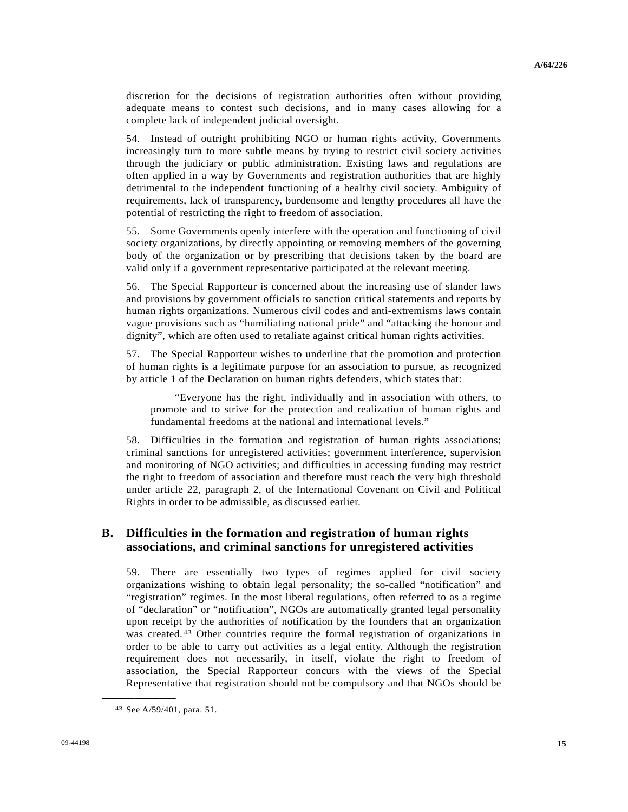discretion for the decisions of registration authorities often without providing adequate means to contest such decisions, and in many cases allowing for a complete lack of independent judicial oversight.

54. Instead of outright prohibiting NGO or human rights activity, Governments increasingly turn to more subtle means by trying to restrict civil society activities through the judiciary or public administration. Existing laws and regulations are often applied in a way by Governments and registration authorities that are highly detrimental to the independent functioning of a healthy civil society. Ambiguity of requirements, lack of transparency, burdensome and lengthy procedures all have the potential of restricting the right to freedom of association.

55. Some Governments openly interfere with the operation and functioning of civil society organizations, by directly appointing or removing members of the governing body of the organization or by prescribing that decisions taken by the board are valid only if a government representative participated at the relevant meeting.

56. The Special Rapporteur is concerned about the increasing use of slander laws and provisions by government officials to sanction critical statements and reports by human rights organizations. Numerous civil codes and anti-extremisms laws contain vague provisions such as "humiliating national pride" and "attacking the honour and dignity", which are often used to retaliate against critical human rights activities.

57. The Special Rapporteur wishes to underline that the promotion and protection of human rights is a legitimate purpose for an association to pursue, as recognized by article 1 of the Declaration on human rights defenders, which states that:

 "Everyone has the right, individually and in association with others, to promote and to strive for the protection and realization of human rights and fundamental freedoms at the national and international levels."

58. Difficulties in the formation and registration of human rights associations; criminal sanctions for unregistered activities; government interference, supervision and monitoring of NGO activities; and difficulties in accessing funding may restrict the right to freedom of association and therefore must reach the very high threshold under article 22, paragraph 2, of the International Covenant on Civil and Political Rights in order to be admissible, as discussed earlier.

## **B. Difficulties in the formation and registration of human rights associations, and criminal sanctions for unregistered activities**

59. There are essentially two types of regimes applied for civil society organizations wishing to obtain legal personality; the so-called "notification" and "registration" regimes. In the most liberal regulations, often referred to as a regime of "declaration" or "notification", NGOs are automatically granted legal personality upon receipt by the authorities of notification by the founders that an organization was created.<sup>[43](#page-14-0)</sup> Other countries require the formal registration of organizations in order to be able to carry out activities as a legal entity. Although the registration requirement does not necessarily, in itself, violate the right to freedom of association, the Special Rapporteur concurs with the views of the Special Representative that registration should not be compulsory and that NGOs should be

<span id="page-14-0"></span><sup>43</sup> See A/59/401, para. 51.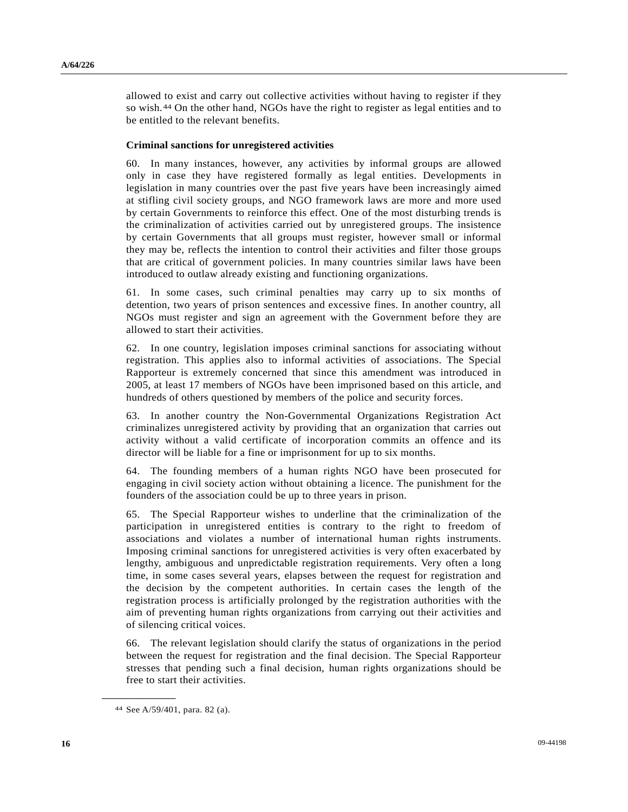allowed to exist and carry out collective activities without having to register if they so wish.[4](#page-15-0)4 On the other hand, NGOs have the right to register as legal entities and to be entitled to the relevant benefits.

#### **Criminal sanctions for unregistered activities**

60. In many instances, however, any activities by informal groups are allowed only in case they have registered formally as legal entities. Developments in legislation in many countries over the past five years have been increasingly aimed at stifling civil society groups, and NGO framework laws are more and more used by certain Governments to reinforce this effect. One of the most disturbing trends is the criminalization of activities carried out by unregistered groups. The insistence by certain Governments that all groups must register, however small or informal they may be, reflects the intention to control their activities and filter those groups that are critical of government policies. In many countries similar laws have been introduced to outlaw already existing and functioning organizations.

61. In some cases, such criminal penalties may carry up to six months of detention, two years of prison sentences and excessive fines. In another country, all NGOs must register and sign an agreement with the Government before they are allowed to start their activities.

62. In one country, legislation imposes criminal sanctions for associating without registration. This applies also to informal activities of associations. The Special Rapporteur is extremely concerned that since this amendment was introduced in 2005, at least 17 members of NGOs have been imprisoned based on this article, and hundreds of others questioned by members of the police and security forces.

63. In another country the Non-Governmental Organizations Registration Act criminalizes unregistered activity by providing that an organization that carries out activity without a valid certificate of incorporation commits an offence and its director will be liable for a fine or imprisonment for up to six months.

64. The founding members of a human rights NGO have been prosecuted for engaging in civil society action without obtaining a licence. The punishment for the founders of the association could be up to three years in prison.

65. The Special Rapporteur wishes to underline that the criminalization of the participation in unregistered entities is contrary to the right to freedom of associations and violates a number of international human rights instruments. Imposing criminal sanctions for unregistered activities is very often exacerbated by lengthy, ambiguous and unpredictable registration requirements. Very often a long time, in some cases several years, elapses between the request for registration and the decision by the competent authorities. In certain cases the length of the registration process is artificially prolonged by the registration authorities with the aim of preventing human rights organizations from carrying out their activities and of silencing critical voices.

66. The relevant legislation should clarify the status of organizations in the period between the request for registration and the final decision. The Special Rapporteur stresses that pending such a final decision, human rights organizations should be free to start their activities.

<span id="page-15-0"></span><sup>44</sup> See A/59/401, para. 82 (a).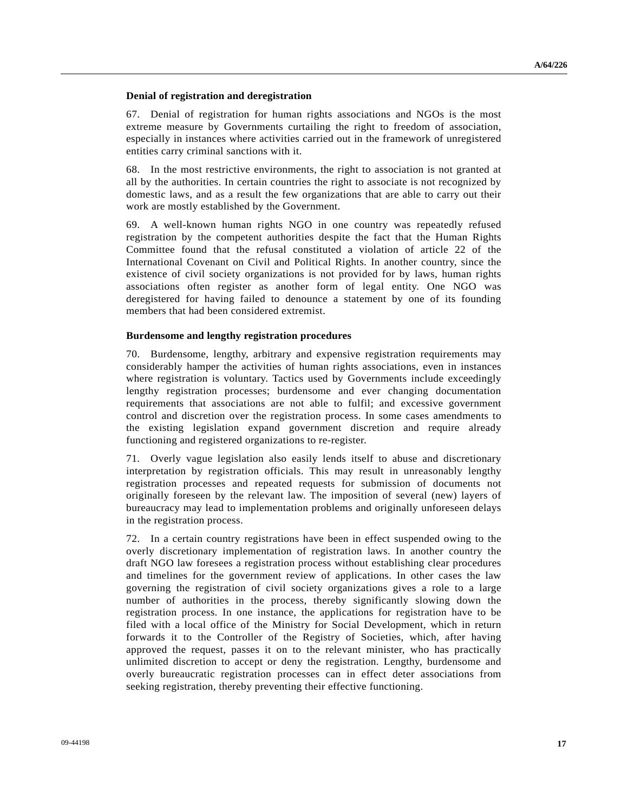#### **Denial of registration and deregistration**

67. Denial of registration for human rights associations and NGOs is the most extreme measure by Governments curtailing the right to freedom of association, especially in instances where activities carried out in the framework of unregistered entities carry criminal sanctions with it.

68. In the most restrictive environments, the right to association is not granted at all by the authorities. In certain countries the right to associate is not recognized by domestic laws, and as a result the few organizations that are able to carry out their work are mostly established by the Government.

69. A well-known human rights NGO in one country was repeatedly refused registration by the competent authorities despite the fact that the Human Rights Committee found that the refusal constituted a violation of article 22 of the International Covenant on Civil and Political Rights. In another country, since the existence of civil society organizations is not provided for by laws, human rights associations often register as another form of legal entity. One NGO was deregistered for having failed to denounce a statement by one of its founding members that had been considered extremist.

#### **Burdensome and lengthy registration procedures**

70. Burdensome, lengthy, arbitrary and expensive registration requirements may considerably hamper the activities of human rights associations, even in instances where registration is voluntary. Tactics used by Governments include exceedingly lengthy registration processes; burdensome and ever changing documentation requirements that associations are not able to fulfil; and excessive government control and discretion over the registration process. In some cases amendments to the existing legislation expand government discretion and require already functioning and registered organizations to re-register.

71. Overly vague legislation also easily lends itself to abuse and discretionary interpretation by registration officials. This may result in unreasonably lengthy registration processes and repeated requests for submission of documents not originally foreseen by the relevant law. The imposition of several (new) layers of bureaucracy may lead to implementation problems and originally unforeseen delays in the registration process.

72. In a certain country registrations have been in effect suspended owing to the overly discretionary implementation of registration laws. In another country the draft NGO law foresees a registration process without establishing clear procedures and timelines for the government review of applications. In other cases the law governing the registration of civil society organizations gives a role to a large number of authorities in the process, thereby significantly slowing down the registration process. In one instance, the applications for registration have to be filed with a local office of the Ministry for Social Development, which in return forwards it to the Controller of the Registry of Societies, which, after having approved the request, passes it on to the relevant minister, who has practically unlimited discretion to accept or deny the registration. Lengthy, burdensome and overly bureaucratic registration processes can in effect deter associations from seeking registration, thereby preventing their effective functioning.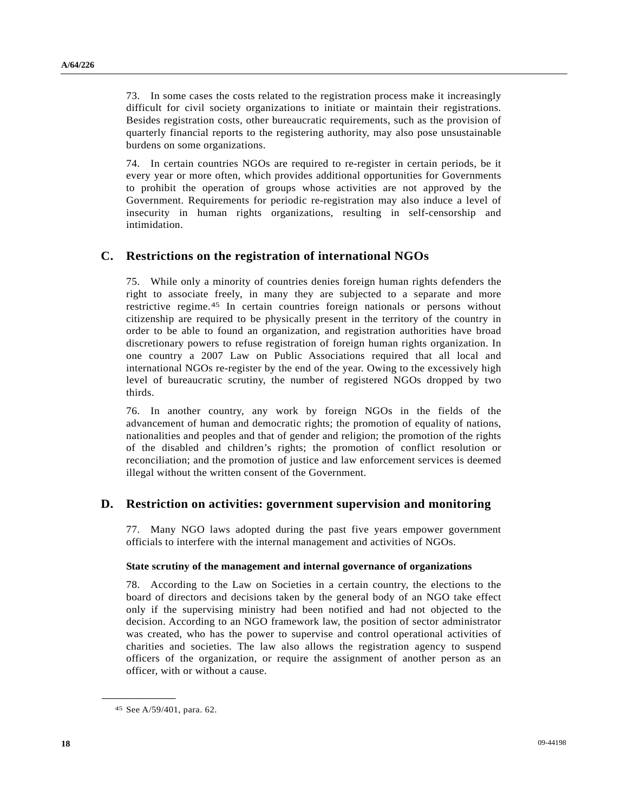73. In some cases the costs related to the registration process make it increasingly difficult for civil society organizations to initiate or maintain their registrations. Besides registration costs, other bureaucratic requirements, such as the provision of quarterly financial reports to the registering authority, may also pose unsustainable burdens on some organizations.

74. In certain countries NGOs are required to re-register in certain periods, be it every year or more often, which provides additional opportunities for Governments to prohibit the operation of groups whose activities are not approved by the Government. Requirements for periodic re-registration may also induce a level of insecurity in human rights organizations, resulting in self-censorship and intimidation.

### **C. Restrictions on the registration of international NGOs**

75. While only a minority of countries denies foreign human rights defenders the right to associate freely, in many they are subjected to a separate and more restrictive regime.[4](#page-17-0)5 In certain countries foreign nationals or persons without citizenship are required to be physically present in the territory of the country in order to be able to found an organization, and registration authorities have broad discretionary powers to refuse registration of foreign human rights organization. In one country a 2007 Law on Public Associations required that all local and international NGOs re-register by the end of the year. Owing to the excessively high level of bureaucratic scrutiny, the number of registered NGOs dropped by two thirds.

76. In another country, any work by foreign NGOs in the fields of the advancement of human and democratic rights; the promotion of equality of nations, nationalities and peoples and that of gender and religion; the promotion of the rights of the disabled and children's rights; the promotion of conflict resolution or reconciliation; and the promotion of justice and law enforcement services is deemed illegal without the written consent of the Government.

### **D. Restriction on activities: government supervision and monitoring**

77. Many NGO laws adopted during the past five years empower government officials to interfere with the internal management and activities of NGOs.

#### **State scrutiny of the management and internal governance of organizations**

78. According to the Law on Societies in a certain country, the elections to the board of directors and decisions taken by the general body of an NGO take effect only if the supervising ministry had been notified and had not objected to the decision. According to an NGO framework law, the position of sector administrator was created, who has the power to supervise and control operational activities of charities and societies. The law also allows the registration agency to suspend officers of the organization, or require the assignment of another person as an officer, with or without a cause.

<span id="page-17-0"></span><sup>45</sup> See A/59/401, para. 62.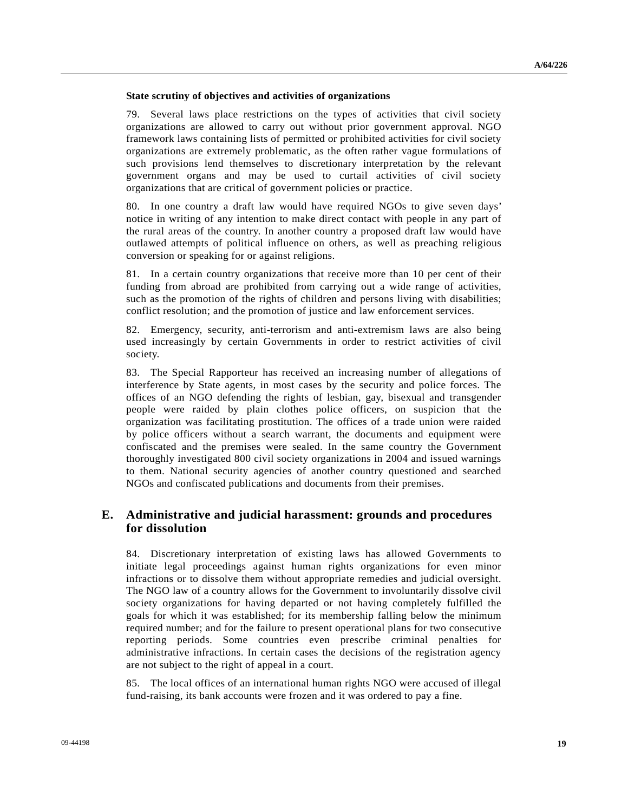#### **State scrutiny of objectives and activities of organizations**

79. Several laws place restrictions on the types of activities that civil society organizations are allowed to carry out without prior government approval. NGO framework laws containing lists of permitted or prohibited activities for civil society organizations are extremely problematic, as the often rather vague formulations of such provisions lend themselves to discretionary interpretation by the relevant government organs and may be used to curtail activities of civil society organizations that are critical of government policies or practice.

80. In one country a draft law would have required NGOs to give seven days' notice in writing of any intention to make direct contact with people in any part of the rural areas of the country. In another country a proposed draft law would have outlawed attempts of political influence on others, as well as preaching religious conversion or speaking for or against religions.

81. In a certain country organizations that receive more than 10 per cent of their funding from abroad are prohibited from carrying out a wide range of activities, such as the promotion of the rights of children and persons living with disabilities; conflict resolution; and the promotion of justice and law enforcement services.

82. Emergency, security, anti-terrorism and anti-extremism laws are also being used increasingly by certain Governments in order to restrict activities of civil society.

83. The Special Rapporteur has received an increasing number of allegations of interference by State agents, in most cases by the security and police forces. The offices of an NGO defending the rights of lesbian, gay, bisexual and transgender people were raided by plain clothes police officers, on suspicion that the organization was facilitating prostitution. The offices of a trade union were raided by police officers without a search warrant, the documents and equipment were confiscated and the premises were sealed. In the same country the Government thoroughly investigated 800 civil society organizations in 2004 and issued warnings to them. National security agencies of another country questioned and searched NGOs and confiscated publications and documents from their premises.

### **E. Administrative and judicial harassment: grounds and procedures for dissolution**

84. Discretionary interpretation of existing laws has allowed Governments to initiate legal proceedings against human rights organizations for even minor infractions or to dissolve them without appropriate remedies and judicial oversight. The NGO law of a country allows for the Government to involuntarily dissolve civil society organizations for having departed or not having completely fulfilled the goals for which it was established; for its membership falling below the minimum required number; and for the failure to present operational plans for two consecutive reporting periods. Some countries even prescribe criminal penalties for administrative infractions. In certain cases the decisions of the registration agency are not subject to the right of appeal in a court.

85. The local offices of an international human rights NGO were accused of illegal fund-raising, its bank accounts were frozen and it was ordered to pay a fine.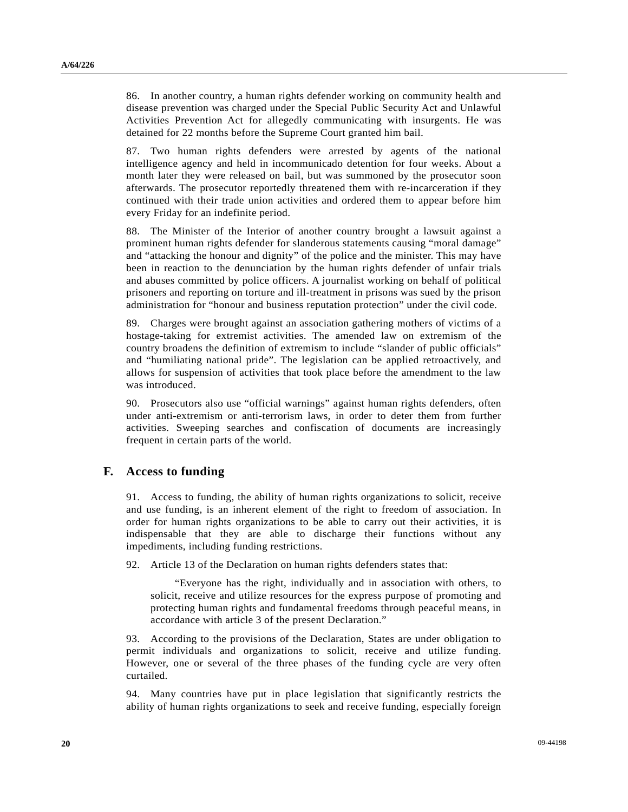86. In another country, a human rights defender working on community health and disease prevention was charged under the Special Public Security Act and Unlawful Activities Prevention Act for allegedly communicating with insurgents. He was detained for 22 months before the Supreme Court granted him bail.

87. Two human rights defenders were arrested by agents of the national intelligence agency and held in incommunicado detention for four weeks. About a month later they were released on bail, but was summoned by the prosecutor soon afterwards. The prosecutor reportedly threatened them with re-incarceration if they continued with their trade union activities and ordered them to appear before him every Friday for an indefinite period.

88. The Minister of the Interior of another country brought a lawsuit against a prominent human rights defender for slanderous statements causing "moral damage" and "attacking the honour and dignity" of the police and the minister. This may have been in reaction to the denunciation by the human rights defender of unfair trials and abuses committed by police officers. A journalist working on behalf of political prisoners and reporting on torture and ill-treatment in prisons was sued by the prison administration for "honour and business reputation protection" under the civil code.

89. Charges were brought against an association gathering mothers of victims of a hostage-taking for extremist activities. The amended law on extremism of the country broadens the definition of extremism to include "slander of public officials" and "humiliating national pride". The legislation can be applied retroactively, and allows for suspension of activities that took place before the amendment to the law was introduced.

90. Prosecutors also use "official warnings" against human rights defenders, often under anti-extremism or anti-terrorism laws, in order to deter them from further activities. Sweeping searches and confiscation of documents are increasingly frequent in certain parts of the world.

### **F. Access to funding**

91. Access to funding, the ability of human rights organizations to solicit, receive and use funding, is an inherent element of the right to freedom of association. In order for human rights organizations to be able to carry out their activities, it is indispensable that they are able to discharge their functions without any impediments, including funding restrictions.

92. Article 13 of the Declaration on human rights defenders states that:

 "Everyone has the right, individually and in association with others, to solicit, receive and utilize resources for the express purpose of promoting and protecting human rights and fundamental freedoms through peaceful means, in accordance with article 3 of the present Declaration."

93. According to the provisions of the Declaration, States are under obligation to permit individuals and organizations to solicit, receive and utilize funding. However, one or several of the three phases of the funding cycle are very often curtailed.

94. Many countries have put in place legislation that significantly restricts the ability of human rights organizations to seek and receive funding, especially foreign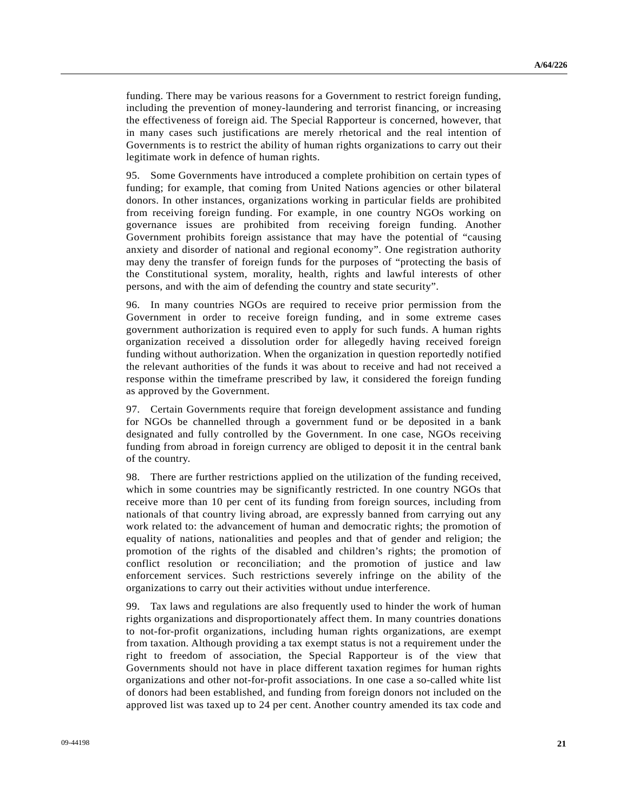funding. There may be various reasons for a Government to restrict foreign funding, including the prevention of money-laundering and terrorist financing, or increasing the effectiveness of foreign aid. The Special Rapporteur is concerned, however, that in many cases such justifications are merely rhetorical and the real intention of Governments is to restrict the ability of human rights organizations to carry out their legitimate work in defence of human rights.

95. Some Governments have introduced a complete prohibition on certain types of funding; for example, that coming from United Nations agencies or other bilateral donors. In other instances, organizations working in particular fields are prohibited from receiving foreign funding. For example, in one country NGOs working on governance issues are prohibited from receiving foreign funding. Another Government prohibits foreign assistance that may have the potential of "causing anxiety and disorder of national and regional economy". One registration authority may deny the transfer of foreign funds for the purposes of "protecting the basis of the Constitutional system, morality, health, rights and lawful interests of other persons, and with the aim of defending the country and state security".

96. In many countries NGOs are required to receive prior permission from the Government in order to receive foreign funding, and in some extreme cases government authorization is required even to apply for such funds. A human rights organization received a dissolution order for allegedly having received foreign funding without authorization. When the organization in question reportedly notified the relevant authorities of the funds it was about to receive and had not received a response within the timeframe prescribed by law, it considered the foreign funding as approved by the Government.

97. Certain Governments require that foreign development assistance and funding for NGOs be channelled through a government fund or be deposited in a bank designated and fully controlled by the Government. In one case, NGOs receiving funding from abroad in foreign currency are obliged to deposit it in the central bank of the country.

98. There are further restrictions applied on the utilization of the funding received, which in some countries may be significantly restricted. In one country NGOs that receive more than 10 per cent of its funding from foreign sources, including from nationals of that country living abroad, are expressly banned from carrying out any work related to: the advancement of human and democratic rights; the promotion of equality of nations, nationalities and peoples and that of gender and religion; the promotion of the rights of the disabled and children's rights; the promotion of conflict resolution or reconciliation; and the promotion of justice and law enforcement services. Such restrictions severely infringe on the ability of the organizations to carry out their activities without undue interference.

99. Tax laws and regulations are also frequently used to hinder the work of human rights organizations and disproportionately affect them. In many countries donations to not-for-profit organizations, including human rights organizations, are exempt from taxation. Although providing a tax exempt status is not a requirement under the right to freedom of association, the Special Rapporteur is of the view that Governments should not have in place different taxation regimes for human rights organizations and other not-for-profit associations. In one case a so-called white list of donors had been established, and funding from foreign donors not included on the approved list was taxed up to 24 per cent. Another country amended its tax code and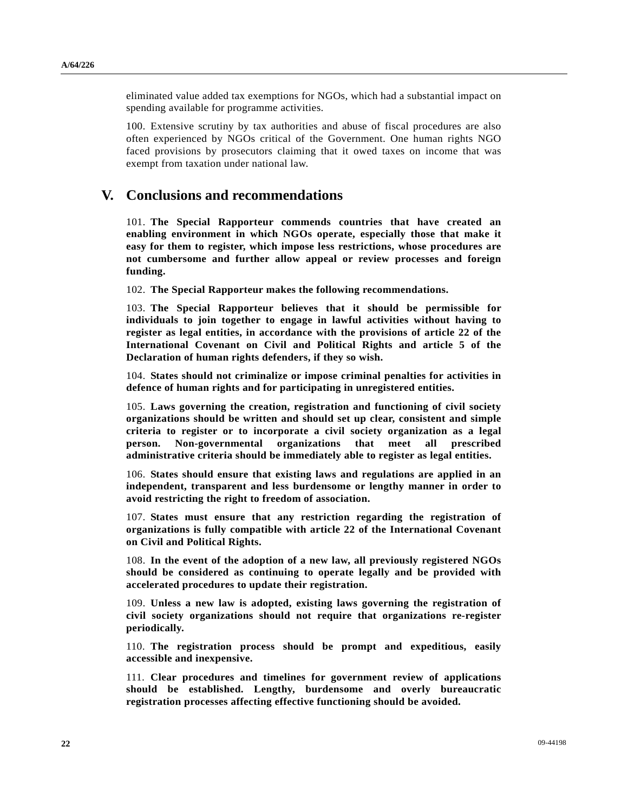eliminated value added tax exemptions for NGOs, which had a substantial impact on spending available for programme activities.

100. Extensive scrutiny by tax authorities and abuse of fiscal procedures are also often experienced by NGOs critical of the Government. One human rights NGO faced provisions by prosecutors claiming that it owed taxes on income that was exempt from taxation under national law.

## **V. Conclusions and recommendations**

101. **The Special Rapporteur commends countries that have created an enabling environment in which NGOs operate, especially those that make it easy for them to register, which impose less restrictions, whose procedures are not cumbersome and further allow appeal or review processes and foreign funding.** 

102. **The Special Rapporteur makes the following recommendations.** 

103. **The Special Rapporteur believes that it should be permissible for individuals to join together to engage in lawful activities without having to register as legal entities, in accordance with the provisions of article 22 of the International Covenant on Civil and Political Rights and article 5 of the Declaration of human rights defenders, if they so wish.** 

104. **States should not criminalize or impose criminal penalties for activities in defence of human rights and for participating in unregistered entities.** 

105. **Laws governing the creation, registration and functioning of civil society organizations should be written and should set up clear, consistent and simple criteria to register or to incorporate a civil society organization as a legal person. Non-governmental organizations that meet all prescribed administrative criteria should be immediately able to register as legal entities.** 

106. **States should ensure that existing laws and regulations are applied in an independent, transparent and less burdensome or lengthy manner in order to avoid restricting the right to freedom of association.** 

107. **States must ensure that any restriction regarding the registration of organizations is fully compatible with article 22 of the International Covenant on Civil and Political Rights.** 

108. **In the event of the adoption of a new law, all previously registered NGOs should be considered as continuing to operate legally and be provided with accelerated procedures to update their registration.** 

109. **Unless a new law is adopted, existing laws governing the registration of civil society organizations should not require that organizations re-register periodically.** 

110. **The registration process should be prompt and expeditious, easily accessible and inexpensive.** 

111. **Clear procedures and timelines for government review of applications should be established. Lengthy, burdensome and overly bureaucratic registration processes affecting effective functioning should be avoided.**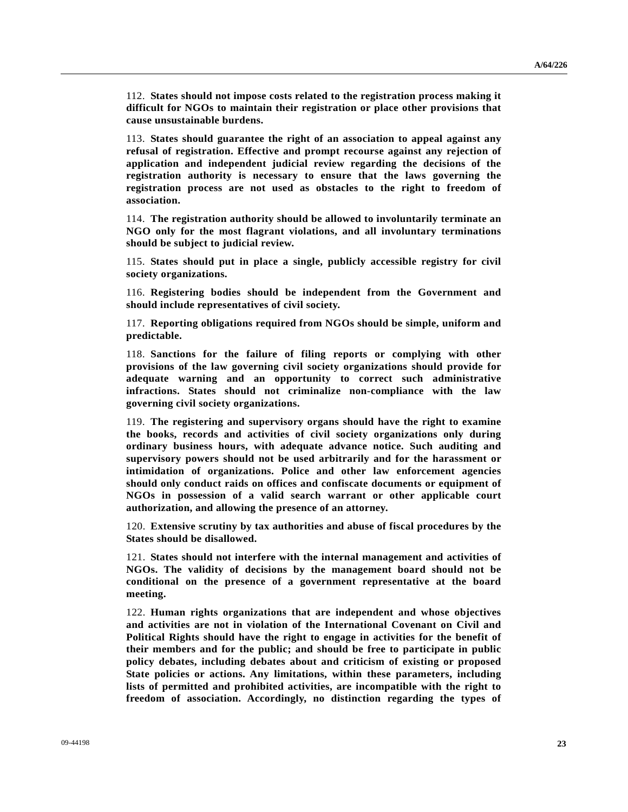112. **States should not impose costs related to the registration process making it difficult for NGOs to maintain their registration or place other provisions that cause unsustainable burdens.** 

113. **States should guarantee the right of an association to appeal against any refusal of registration. Effective and prompt recourse against any rejection of application and independent judicial review regarding the decisions of the registration authority is necessary to ensure that the laws governing the registration process are not used as obstacles to the right to freedom of association.** 

114. **The registration authority should be allowed to involuntarily terminate an NGO only for the most flagrant violations, and all involuntary terminations should be subject to judicial review.** 

115. **States should put in place a single, publicly accessible registry for civil society organizations.** 

116. **Registering bodies should be independent from the Government and should include representatives of civil society.** 

117. **Reporting obligations required from NGOs should be simple, uniform and predictable.** 

118. **Sanctions for the failure of filing reports or complying with other provisions of the law governing civil society organizations should provide for adequate warning and an opportunity to correct such administrative infractions. States should not criminalize non-compliance with the law governing civil society organizations.** 

119. **The registering and supervisory organs should have the right to examine the books, records and activities of civil society organizations only during ordinary business hours, with adequate advance notice. Such auditing and supervisory powers should not be used arbitrarily and for the harassment or intimidation of organizations. Police and other law enforcement agencies should only conduct raids on offices and confiscate documents or equipment of NGOs in possession of a valid search warrant or other applicable court authorization, and allowing the presence of an attorney.** 

120. **Extensive scrutiny by tax authorities and abuse of fiscal procedures by the States should be disallowed.** 

121. **States should not interfere with the internal management and activities of NGOs. The validity of decisions by the management board should not be conditional on the presence of a government representative at the board meeting.** 

122. **Human rights organizations that are independent and whose objectives and activities are not in violation of the International Covenant on Civil and Political Rights should have the right to engage in activities for the benefit of their members and for the public; and should be free to participate in public policy debates, including debates about and criticism of existing or proposed State policies or actions. Any limitations, within these parameters, including lists of permitted and prohibited activities, are incompatible with the right to freedom of association. Accordingly, no distinction regarding the types of**